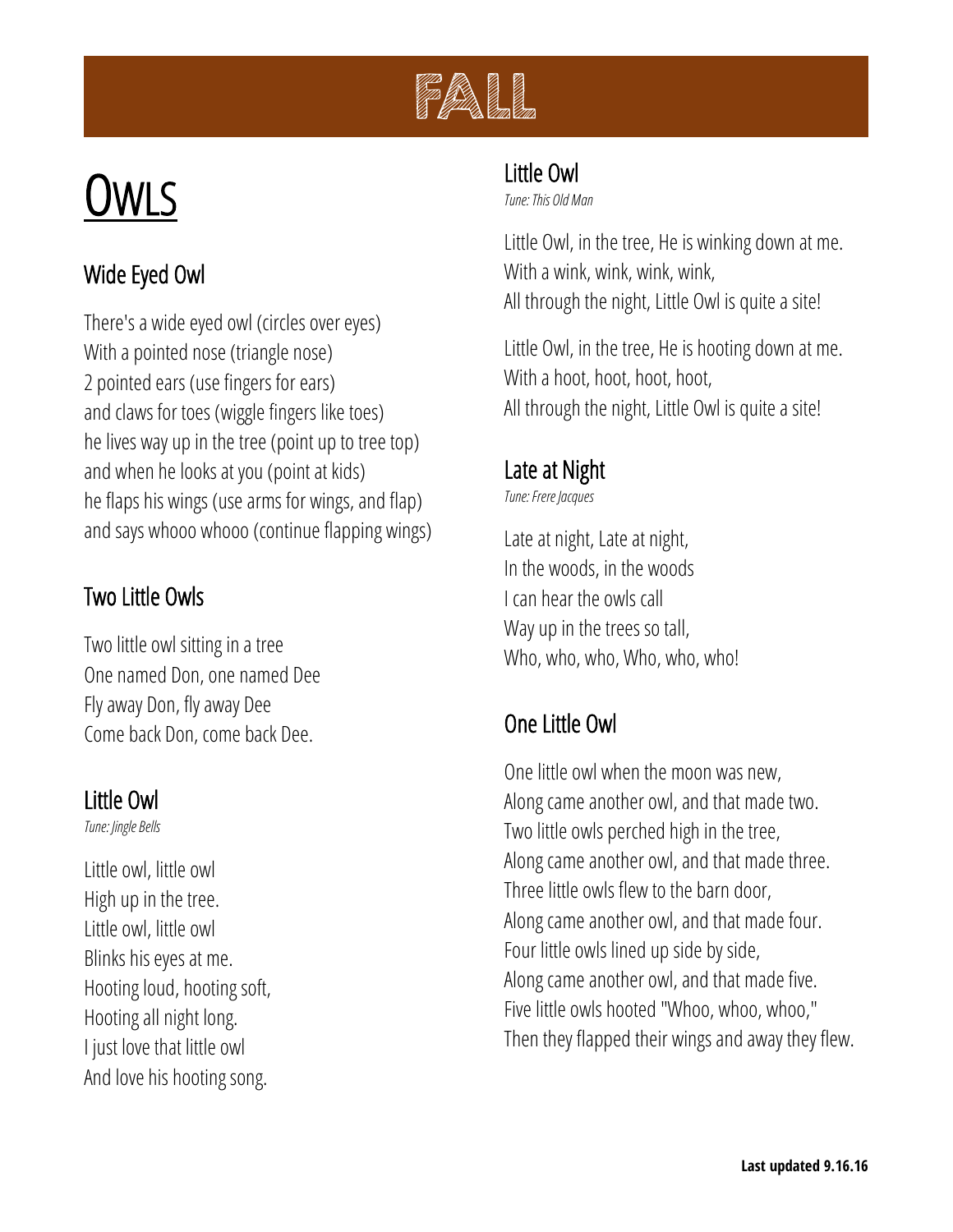

# OWLS

# Wide Eyed Owl

There's a wide eyed owl (circles over eyes) With a pointed nose (triangle nose) 2 pointed ears (use fingers for ears) and claws for toes (wiggle fingers like toes) he lives way up in the tree (point up to tree top) and when he looks at you (point at kids) he flaps his wings (use arms for wings, and flap) and says whooo whooo (continue flapping wings)

#### Two Little Owls

Two little owl sitting in a tree One named Don, one named Dee Fly away Don, fly away Dee Come back Don, come back Dee.

#### Little Owl

*Tune: Jingle Bells*

Little owl, little owl High up in the tree. Little owl, little owl Blinks his eyes at me. Hooting loud, hooting soft, Hooting all night long. I just love that little owl And love his hooting song.

## Little Owl

*Tune: This Old Man*

Little Owl, in the tree, He is winking down at me. With a wink, wink, wink, wink, All through the night, Little Owl is quite a site!

Little Owl, in the tree, He is hooting down at me. With a hoot, hoot, hoot, hoot, All through the night, Little Owl is quite a site!

# Late at Night

*Tune: Frere Jacques*

Late at night, Late at night, In the woods, in the woods I can hear the owls call Way up in the trees so tall, Who, who, who, Who, who, who!

# One Little Owl

One little owl when the moon was new, Along came another owl, and that made two. Two little owls perched high in the tree, Along came another owl, and that made three. Three little owls flew to the barn door, Along came another owl, and that made four. Four little owls lined up side by side, Along came another owl, and that made five. Five little owls hooted "Whoo, whoo, whoo," Then they flapped their wings and away they flew.